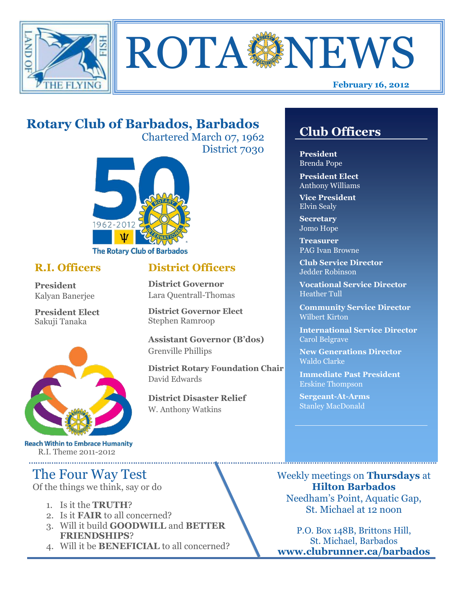



# **Rotary Club of Barbados, Barbados**

Chartered March 07, 1962 District 7030



### **R.I. Officers**

**President**  Kalyan Banerjee

**President Elect** Sakuji Tanaka



**Reach Within to Embrace Humanity** R.I. Theme 2011-2012

## The Four Way Test

Of the things we think, say or do

- 1. Is it the **TRUTH**?
- 2. Is it **FAIR** to all concerned?
- 3. Will it build **GOODWILL** and **BETTER FRIENDSHIPS**?
- 4. Will it be **BENEFICIAL** to all concerned?

## **Club Officers**

**Club Officers** 

**President** Brenda Pope

**President Elect** Anthony Williams

**Vice President** Elvin Sealy

**Secretary** Jomo Hope

**Treasurer** PAG Ivan Browne

**Club Service Director** Jedder Robinson

**Vocational Service Director** Heather Tull

**Community Service Director** Wilbert Kirton

**International Service Director** Carol Belgrave

**New Generations Director** Waldo Clarke

**Immediate Past President** Erskine Thompson

**Sergeant-At-Arms** Stanley MacDonald

Weekly meetings on **Thursdays** at **Hilton Barbados** Needham's Point, Aquatic Gap, St. Michael at 12 noon

P.O. Box 148B, Brittons Hill, St. Michael, Barbados **www.clubrunner.ca/barbados**

### **District Officers**

**District Governor** Lara Quentrall-Thomas

**District Governor Elect** Stephen Ramroop

**Assistant Governor (B'dos)** Grenville Phillips

**District Rotary Foundation Chair** David Edwards

**District Disaster Relief** W. Anthony Watkins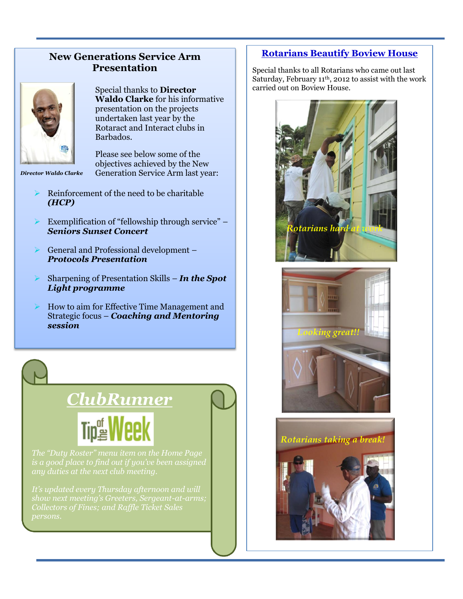### **New Generations Service Arm Presentation**



Special thanks to **Director Waldo Clarke** for his informative presentation on the projects undertaken last year by the Rotaract and Interact clubs in Barbados.

Please see below some of the objectives achieved by the New *Director Waldo Clarke* Generation Service Arm last year:

- Reinforcement of the need to be charitable *(HCP)*
- Exemplification of "fellowship through service" *Seniors Sunset Concert*
- General and Professional development *Protocols Presentation*
- Sharpening of Presentation Skills *In the Spot Light programme*
- How to aim for Effective Time Management and Strategic focus – *Coaching and Mentoring session*

# *ClubRunner* **Tip<sup>od</sup>** Week

*It's updated every Thursday afternoon and will* 

### **Rotarians Beautify Boview House**

Special thanks to all Rotarians who came out last Saturday, February 11th, 2012 to assist with the work carried out on Boview House.



*Rotarians taking a break!*

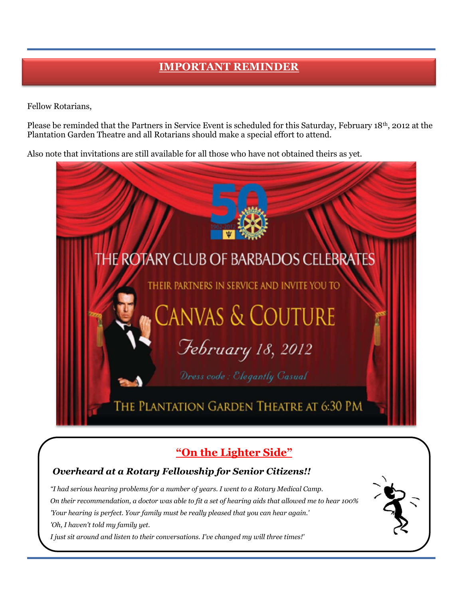## **IMPORTANT REMINDER**

Fellow Rotarians,

Please be reminded that the Partners in Service Event is scheduled for this Saturday, February 18<sup>th</sup>, 2012 at the Plantation Garden Theatre and all Rotarians should make a special effort to attend.

Also note that invitations are still available for all those who have not obtained theirs as yet.



## **"On the Lighter Side"**

### *Overheard at a Rotary Fellowship for Senior Citizens!!*

*"I had serious hearing problems for a number of years. I went to a Rotary Medical Camp. On their recommendation, a doctor was able to fit a set of hearing aids that allowed me to hear 100% 'Your hearing is perfect. Your family must be really pleased that you can hear again.' 'Oh, I haven't told my family yet.*

*I just sit around and listen to their conversations. I've changed my will three times!'*